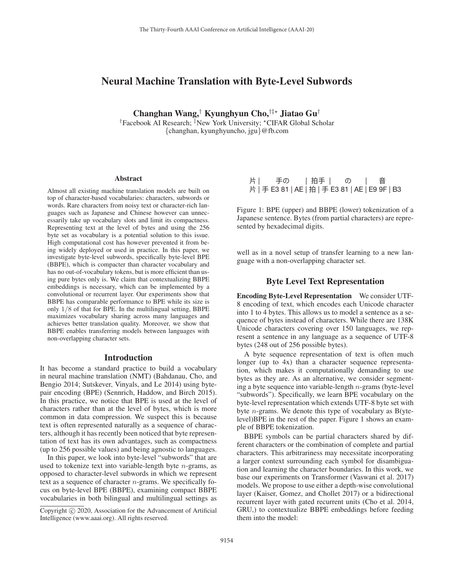## Neural Machine Translation with Byte-Level Subwords

Changhan Wang,<sup>†</sup> Kyunghyun Cho,<sup>†‡\*</sup> Jiatao Gu<sup>†</sup> <sup>†</sup>Facebook AI Research; <sup>‡</sup>New York University; \*CIFAR Global Scholar {changhan, kyunghyuncho, jgu}@fb.com

#### Abstract

Almost all existing machine translation models are built on top of character-based vocabularies: characters, subwords or words. Rare characters from noisy text or character-rich languages such as Japanese and Chinese however can unnecessarily take up vocabulary slots and limit its compactness. Representing text at the level of bytes and using the 256 byte set as vocabulary is a potential solution to this issue. High computational cost has however prevented it from being widely deployed or used in practice. In this paper, we investigate byte-level subwords, specifically byte-level BPE (BBPE), which is compacter than character vocabulary and has no out-of-vocabulary tokens, but is more efficient than using pure bytes only is. We claim that contextualizing BBPE embeddings is necessary, which can be implemented by a convolutional or recurrent layer. Our experiments show that BBPE has comparable performance to BPE while its size is only 1/8 of that for BPE. In the multilingual setting, BBPE maximizes vocabulary sharing across many languages and achieves better translation quality. Moreover, we show that BBPE enables transferring models between languages with non-overlapping character sets.

## Introduction

It has become a standard practice to build a vocabulary in neural machine translation (NMT) (Bahdanau, Cho, and Bengio 2014; Sutskever, Vinyals, and Le 2014) using bytepair encoding (BPE) (Sennrich, Haddow, and Birch 2015). In this practice, we notice that BPE is used at the level of characters rather than at the level of bytes, which is more common in data compression. We suspect this is because text is often represented naturally as a sequence of characters, although it has recently been noticed that byte representation of text has its own advantages, such as compactness (up to 256 possible values) and being agnostic to languages.

In this paper, we look into byte-level "subwords" that are used to tokenize text into variable-length byte  $n$ -grams, as opposed to character-level subwords in which we represent text as a sequence of character  $n$ -grams. We specifically focus on byte-level BPE (BBPE), examining compact BBPE vocabularies in both bilingual and multilingual settings as

<sup>ᇆ</sup> | ಋ΄ | ೌಋ | ΄ | <sup>ᶪ</sup> <sup>ᇆ</sup> | ಋ E3 81 | AE | ೌ | ಋ E3 81 | AE | E9 9F | B3

Figure 1: BPE (upper) and BBPE (lower) tokenization of a Japanese sentence. Bytes (from partial characters) are represented by hexadecimal digits.

well as in a novel setup of transfer learning to a new language with a non-overlapping character set.

## Byte Level Text Representation

Encoding Byte-Level Representation We consider UTF-8 encoding of text, which encodes each Unicode character into 1 to 4 bytes. This allows us to model a sentence as a sequence of bytes instead of characters. While there are 138K Unicode characters covering over 150 languages, we represent a sentence in any language as a sequence of UTF-8 bytes (248 out of 256 possible bytes).

A byte sequence representation of text is often much longer (up to 4x) than a character sequence representation, which makes it computationally demanding to use bytes as they are. As an alternative, we consider segmenting a byte sequence into variable-length  $n$ -grams (byte-level "subwords"). Specifically, we learn BPE vocabulary on the byte-level representation which extends UTF-8 byte set with byte  $n$ -grams. We denote this type of vocabulary as B(ytelevel)BPE in the rest of the paper. Figure 1 shows an example of BBPE tokenization.

BBPE symbols can be partial characters shared by different characters or the combination of complete and partial characters. This arbitrariness may necessitate incorporating a larger context surrounding each symbol for disambiguation and learning the character boundaries. In this work, we base our experiments on Transformer (Vaswani et al. 2017) models. We propose to use either a depth-wise convolutional layer (Kaiser, Gomez, and Chollet 2017) or a bidirectional recurrent layer with gated recurrent units (Cho et al. 2014, GRU,) to contextualize BBPE embeddings before feeding them into the model:

Copyright  $\odot$  2020, Association for the Advancement of Artificial Intelligence (www.aaai.org). All rights reserved.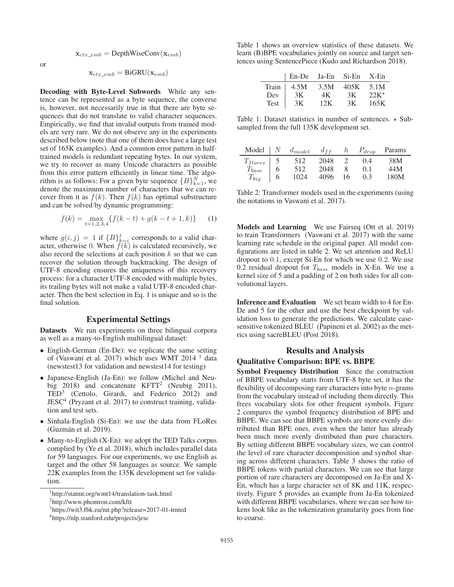$$
\mathbf{x}_{ctx\_emb} = \text{DepthWiseConv}(\mathbf{x}_{emb})
$$

or

 $\mathbf{x}_{ctx\_emb} = \text{BiGRU}(\mathbf{x}_{emb})$ 

Decoding with Byte-Level Subwords While any sentence can be represented as a byte sequence, the converse is, however, not necessarily true in that there are byte sequences that do not translate to valid character sequences. Empirically, we find that invalid outputs from trained models are very rare. We do not observe any in the experiments described below (note that one of them does have a large test set of 165K examples). And a common error pattern in halftrained models is redundant repeating bytes. In our system, we try to recover as many Unicode characters as possible from this error pattern efficiently in linear time. The algorithm is as follows: For a given byte sequence  ${B}_{k=1}^{N}$ , we denote the maximum number of characters that we can recover from it as  $f(k)$ . Then  $f(k)$  has optimal substructure and can be solved by dynamic programming:

$$
f(k) = \max_{t=1,2,3,4} \{ f(k-t) + g(k-t+1,k) \} \tag{1}
$$

where  $g(i, j) = 1$  if  ${B}_{k=i}^j$  corresponds to a valid character, otherwise 0. When  $f(k)$  is calculated recursively, we also record the selections at each position  $k$  so that we can recover the solution through backtracking. The design of UTF-8 encoding ensures the uniqueness of this recovery process: for a character UTF-8 encoded with multiple bytes, its trailing bytes will not make a valid UTF-8 encoded character. Then the best selection in Eq. 1 is unique and so is the final solution.

## Experimental Settings

Datasets We run experiments on three bilingual corpora as well as a many-to-English multilingual dataset:

- English-German (En-De): we replicate the same setting of (Vaswani et al. 2017) which uses WMT 2014 <sup>1</sup> data (newstest13 for validation and newstest14 for testing)
- Japanese-English (Ja-En): we follow (Michel and Neubig 2018) and concatenate KFTT<sup>2</sup> (Neubig 2011), TED3 (Cettolo, Girardi, and Federico 2012) and JESC4 (Pryzant et al. 2017) to construct training, validation and test sets.
- Sinhala-English (Si-En): we use the data from FLoRes (Guzman et al. 2019). ´
- Many-to-English (X-En): we adopt the TED Talks corpus complied by (Ye et al. 2018), which includes parallel data for 59 languages. For our experiments, we use English as target and the other 58 languages as source. We sample 22K examples from the 135K development set for validation.

Table 1 shows an overview statistics of these datasets. We learn (B)BPE vocabularies jointly on source and target sentences using SentencePiece (Kudo and Richardson 2018).

|             | En-De Ja-En Si-En X-En |      |      |               |
|-------------|------------------------|------|------|---------------|
| Train       | 4.5M                   | 3.5M | 405K | 5.1M          |
| Dev         | 3K                     | 4K.  | 3K   | $22K^{\star}$ |
| <b>Test</b> | 3K                     | 12K  | 3K   | 165K          |

Table 1: Dataset statistics in number of sentences.  $\star$  Subsampled from the full 135K development set.

| Model        |   | $d_{model}$ | $d_{ff}$ | n  | $P_{drop}$     | Params |
|--------------|---|-------------|----------|----|----------------|--------|
| $T_{flores}$ |   | 512         | 2048     |    | (0.4)          | 38M    |
| $T_{base}$   | 6 | 512         | 2048     |    | 0 <sub>1</sub> | 44M    |
| $T_{big}$    | 6 | 1024        | 4096     | 16 | 0.3            | 180M   |

Table 2: Transformer models used in the experiments (using the notations in Vaswani et al. 2017).

Models and Learning We use Fairseq (Ott et al. 2019) to train Transformers (Vaswani et al. 2017) with the same learning rate schedule in the original paper. All model configurations are listed in table 2. We set attention and ReLU dropout to 0.1, except Si-En for which we use 0.2. We use 0.2 residual dropout for  $T_{base}$  models in X-En. We use a kernel size of 5 and a padding of 2 on both sides for all convolutional layers.

Inference and Evaluation We set beam width to 4 for En-De and 5 for the other and use the best checkpoint by validation loss to generate the predictions. We calculate casesensitive tokenized BLEU (Papineni et al. 2002) as the metrics using sacreBLEU (Post 2018).

# Results and Analysis

## Qualitative Comparison: BPE vs. BBPE

Symbol Frequency Distribution Since the construction of BBPE vocabulary starts from UTF-8 byte set, it has the flexibility of decomposing rare characters into byte  $n$ -grams from the vocabulary instead of including them directly. This frees vocabulary slots for other frequent symbols. Figure 2 compares the symbol frequency distribution of BPE and BBPE. We can see that BBPE symbols are more evenly distributed than BPE ones, even when the latter has already been much more evenly distributed than pure characters. By setting different BBPE vocabulary sizes, we can control the level of rare character decomposition and symbol sharing across different characters. Table 3 shows the ratio of BBPE tokens with partial characters. We can see that large portion of rare characters are decomposed on Ja-En and X-En, which has a large character set of 8K and 11K, respectively. Figure 5 provides an example from Ja-En tokenized with different BBPE vocabularies, where we can see how tokens look like as the tokenization granularity goes from fine to coarse.

<sup>1</sup> http://statmt.org/wmt14/translation-task.html

<sup>2</sup> http://www.phontron.com/kftt

<sup>3</sup> https://wit3.fbk.eu/mt.php?release=2017-01-trnted

<sup>4</sup> https://nlp.stanford.edu/projects/jesc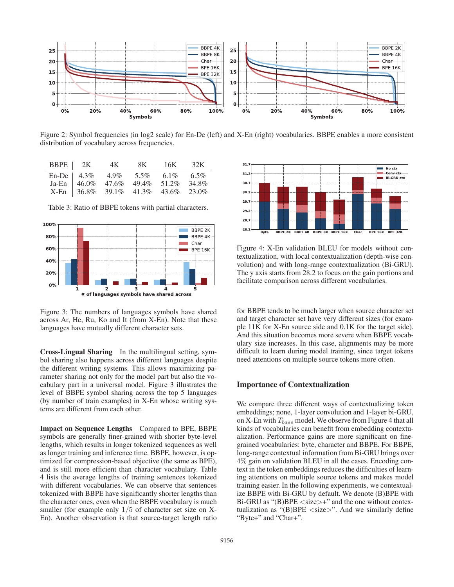

Figure 2: Symbol frequencies (in log2 scale) for En-De (left) and X-En (right) vocabularies. BBPE enables a more consistent distribution of vocabulary across frequencies.

| BBPE 2K 4K 8K 16K 32K                           |  |  |
|-------------------------------------------------|--|--|
| En-De   $4.3\%$ $4.9\%$ $5.5\%$ $6.1\%$ $6.5\%$ |  |  |
| Ja-En   46.0% 47.6% 49.4% 51.2% 34.8%           |  |  |
| X-En   36.8% 39.1% 41.3% 43.6% 23.0%            |  |  |



Table 3: Ratio of BBPE tokens with partial characters.

Figure 3: The numbers of languages symbols have shared across Ar, He, Ru, Ko and It (from X-En). Note that these languages have mutually different character sets.

Cross-Lingual Sharing In the multilingual setting, symbol sharing also happens across different languages despite the different writing systems. This allows maximizing parameter sharing not only for the model part but also the vocabulary part in a universal model. Figure 3 illustrates the level of BBPE symbol sharing across the top 5 languages (by number of train examples) in X-En whose writing systems are different from each other.

Impact on Sequence Lengths Compared to BPE, BBPE symbols are generally finer-grained with shorter byte-level lengths, which results in longer tokenized sequences as well as longer training and inference time. BBPE, however, is optimized for compression-based objective (the same as BPE), and is still more efficient than character vocabulary. Table 4 lists the average lengths of training sentences tokenized with different vocabularies. We can observe that sentences tokenized with BBPE have significantly shorter lengths than the character ones, even when the BBPE vocabulary is much smaller (for example only  $1/5$  of character set size on X-En). Another observation is that source-target length ratio



Figure 4: X-En validation BLEU for models without contextualization, with local contextualization (depth-wise convolution) and with long-range contextualization (Bi-GRU). The y axis starts from 28.2 to focus on the gain portions and facilitate comparison across different vocabularies.

for BBPE tends to be much larger when source character set and target character set have very different sizes (for example 11K for X-En source side and 0.1K for the target side). And this situation becomes more severe when BBPE vocabulary size increases. In this case, alignments may be more difficult to learn during model training, since target tokens need attentions on multiple source tokens more often.

## Importance of Contextualization

We compare three different ways of contextualizing token embeddings; none, 1-layer convolution and 1-layer bi-GRU, on X-En with  $T_{base}$  model. We observe from Figure 4 that all kinds of vocabularies can benefit from embedding contextualization. Performance gains are more significant on finegrained vocabularies: byte, character and BBPE. For BBPE, long-range contextual information from Bi-GRU brings over 4% gain on validation BLEU in all the cases. Encoding context in the token embeddings reduces the difficulties of learning attentions on multiple source tokens and makes model training easier. In the following experiments, we contextualize BBPE with Bi-GRU by default. We denote (B)BPE with Bi-GRU as " $(B)$ BPE  $\langle$ size $>$ +" and the one without contextualization as "(B)BPE  $\langle$ size $\rangle$ ". And we similarly define "Byte+" and "Char+".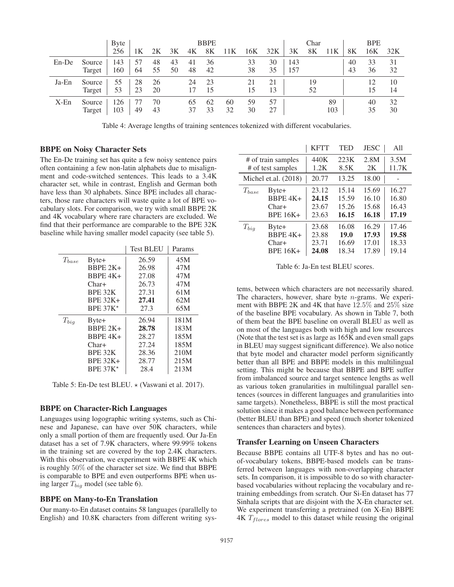|          |        | <b>Byte</b> |    |    |    |    | <b>BBPE</b> |     |     |     |     | Char |     |    | <b>BPE</b> |     |
|----------|--------|-------------|----|----|----|----|-------------|-----|-----|-----|-----|------|-----|----|------------|-----|
|          |        | 256         | 1Κ | 2Κ | 3K | 4Κ | 8K          | 11K | 16K | 32K | 3K  | 8K   | 11K | 8K | 16K        | 32K |
| $En$ -De | Source | 143         | 57 | 48 | 43 | 41 | 36          |     | 33  | 30  | 143 |      |     | 40 | 33         | 31  |
|          | Target | 160         | 64 | 55 | 50 | 48 | 42          |     | 38  | 35  | 157 |      |     | 43 | 36         | 32  |
| $Ja$ -En | Source | 55          | 28 | 26 |    | 24 | 23          |     | 21  | 21  |     | 19   |     |    | 12         | 10  |
|          | Target | 53          | 23 | 20 |    | 17 | 15          |     | 15  | 13  |     | 52   |     |    | 15         | 14  |
| $X-Fn$   | Source | 126         |    | 70 |    | 65 | 62          | 60  | 59  | 57  |     |      | 89  |    | 40         | 32  |
|          | Target | 103         | 49 | 43 |    | 37 | 33          | 32  | 30  | 27  |     |      | 103 |    | 35         | 30  |

Table 4: Average lengths of training sentences tokenized with different vocabularies.

## BBPE on Noisy Character Sets

The En-De training set has quite a few noisy sentence pairs often containing a few non-latin alphabets due to misalignment and code-switched sentences. This leads to a 3.4K character set, while in contrast, English and German both have less than 30 alphabets. Since BPE includes all characters, those rare characters will waste quite a lot of BPE vocabulary slots. For comparison, we try with small BBPE 2K and 4K vocabulary where rare characters are excluded. We find that their performance are comparable to the BPE 32K baseline while having smaller model capacity (see table 5).

|            |                 | <b>Test BLEU</b> | Params |
|------------|-----------------|------------------|--------|
| $T_{base}$ | Byte+           | 26.59            | 45M    |
|            | $BBPE 2K+$      | 26.98            | 47M    |
|            | $BBPE4K+$       | 27.08            | 47M    |
|            | $Char+$         | 26.73            | 47M    |
|            | BPE 32K         | 27.31            | 61M    |
|            | <b>BPE 32K+</b> | 27.41            | 62M    |
|            | BPE $37K*$      | 27.3             | 65M    |
| $T_{big}$  | $B$ yte+        | 26.94            | 181M   |
|            | $BBPE 2K+$      | 28.78            | 183M   |
|            | $BBPE4K+$       | 28.27            | 185M   |
|            | $Char+$         | 27.24            | 185M   |
|            | BPE 32K         | 28.36            | 210M   |
|            | <b>BPE 32K+</b> | 28.77            | 215M   |
|            | BPE $37K*$      | 28.4             | 213M   |

Table 5: En-De test BLEU.  $\star$  (Vaswani et al. 2017).

#### BBPE on Character-Rich Languages

Languages using logographic writing systems, such as Chinese and Japanese, can have over 50K characters, while only a small portion of them are frequently used. Our Ja-En dataset has a set of 7.9K characters, where 99.99% tokens in the training set are covered by the top 2.4K characters. With this observation, we experiment with BBPE 4K which is roughly 50% of the character set size. We find that BBPE is comparable to BPE and even outperforms BPE when using larger  $T_{big}$  model (see table 6).

## BBPE on Many-to-En Translation

Our many-to-En dataset contains 58 languages (parallelly to English) and 10.8K characters from different writing sys-

|                    |                        | <b>KFTT</b> | <b>TED</b> | <b>JESC</b> | A11   |
|--------------------|------------------------|-------------|------------|-------------|-------|
| # of train samples |                        | 440K        | 223K       | 2.8M        | 3.5M  |
| # of test samples  |                        | 1.2K        | 8.5K       | 2K          | 11.7K |
|                    | Michel et.al. $(2018)$ | 20.77       | 13.25      | 18.00       |       |
| $T_{base}$         | $B$ yte+               | 23.12       | 15.14      | 15.69       | 16.27 |
|                    | $BBPE4K+$              | 24.15       | 15.59      | 16.10       | 16.80 |
|                    | $Char+$                | 23.67       | 15.26      | 15.68       | 16.43 |
|                    | <b>BPE 16K+</b>        | 23.63       | 16.15      | 16.18       | 17.19 |
| $T_{bia}$          | Byte+                  | 23.68       | 16.08      | 16.29       | 17.46 |
|                    | $BBPE4K+$              | 23.88       | 19.0       | 17.93       | 19.58 |
|                    | $Char+$                | 23.71       | 16.69      | 17.01       | 18.33 |
|                    | <b>BPE 16K+</b>        | 24.08       | 18.34      | 17.89       | 19.14 |

Table 6: Ja-En test BLEU scores.

tems, between which characters are not necessarily shared. The characters, however, share byte  $n$ -grams. We experiment with BBPE 2K and 4K that have 12.5% and 25% size of the baseline BPE vocabulary. As shown in Table 7, both of them beat the BPE baseline on overall BLEU as well as on most of the languages both with high and low resources (Note that the test set is as large as 165K and even small gaps in BLEU may suggest significant difference). We also notice that byte model and character model perform significantly better than all BPE and BBPE models in this multilingual setting. This might be because that BBPE and BPE suffer from imbalanced source and target sentence lengths as well as various token granularities in multilingual parallel sentences (sources in different languages and granularities into same targets). Nonetheless, BBPE is still the most practical solution since it makes a good balance between performance (better BLEU than BPE) and speed (much shorter tokenized sentences than characters and bytes).

## Transfer Learning on Unseen Characters

Because BBPE contains all UTF-8 bytes and has no outof-vocabulary tokens, BBPE-based models can be transferred between languages with non-overlapping character sets. In comparison, it is impossible to do so with characterbased vocabularies without replacing the vocabulary and retraining embeddings from scratch. Our Si-En dataset has 77 Sinhala scripts that are disjoint with the X-En character set. We experiment transferring a pretrained (on X-En) BBPE  $4K T_{flores}$  model to this dataset while reusing the original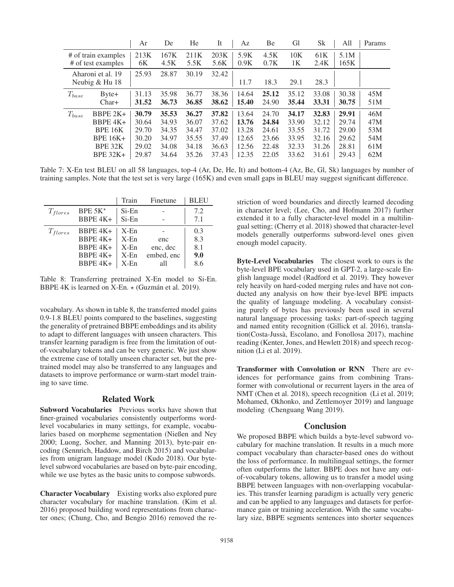|            |                     | Ar    | De    | He    | It    | Az    | Be    | Gl    | Sk              | All   | Params |
|------------|---------------------|-------|-------|-------|-------|-------|-------|-------|-----------------|-------|--------|
|            | # of train examples | 213K  | 167K  | 211K  | 203K  | 5.9K  | 4.5K  | 10K   | 61 <sub>K</sub> | 5.1M  |        |
|            | # of test examples  | 6K    | 4.5K  | 5.5K  | 5.6K  | 0.9K  | 0.7K  | 1K    | 2.4K            | 165K  |        |
|            | Aharoni et al. 19   | 25.93 | 28.87 | 30.19 | 32.42 |       |       |       |                 |       |        |
|            | Neubig & Hu 18      |       |       |       |       | 11.7  | 18.3  | 29.1  | 28.3            |       |        |
| $T_{base}$ | $B$ yte+            | 31.13 | 35.98 | 36.77 | 38.36 | 14.64 | 25.12 | 35.12 | 33.08           | 30.38 | 45M    |
|            | $Char+$             | 31.52 | 36.73 | 36.85 | 38.62 | 15.40 | 24.90 | 35.44 | 33.31           | 30.75 | 51M    |
| $T_{base}$ | BBPE $2K+$          | 30.79 | 35.53 | 36.27 | 37.82 | 13.64 | 24.70 | 34.17 | 32.83           | 29.91 | 46M    |
|            | $BBPE4K+$           | 30.64 | 34.93 | 36.07 | 37.62 | 13.76 | 24.84 | 33.90 | 32.12           | 29.74 | 47M    |
|            | <b>BPE 16K</b>      | 29.70 | 34.35 | 34.47 | 37.02 | 13.28 | 24.61 | 33.55 | 31.72           | 29.00 | 53M    |
|            | <b>BPE 16K+</b>     | 30.20 | 34.97 | 35.55 | 37.49 | 12.65 | 23.66 | 33.95 | 32.16           | 29.62 | 54M    |
|            | BPE 32K             | 29.02 | 34.08 | 34.18 | 36.63 | 12.56 | 22.48 | 32.33 | 31.26           | 28.81 | 61M    |
|            | <b>BPE 32K+</b>     | 29.87 | 34.64 | 35.26 | 37.43 | 12.35 | 22.05 | 33.62 | 31.61           | 29.43 | 62M    |

Table 7: X-En test BLEU on all 58 languages, top-4 (Ar, De, He, It) and bottom-4 (Az, Be, Gl, Sk) languages by number of training samples. Note that the test set is very large (165K) and even small gaps in BLEU may suggest significant difference.

|              |           | Train    | Finetune   | <b>BLEU</b> |
|--------------|-----------|----------|------------|-------------|
| $T_{flores}$ | BPE $5K*$ | $Si$ -En |            | 7.2         |
|              | BBPE 4K+  | Si-En    |            | 7.1         |
| $T_{flores}$ | BBPE 4K+  | $X-Fn$   |            | 0.3         |
|              | BBPE 4K+  | $X-Fn$   | enc        | 8.3         |
|              | BBPE 4K+  | $X$ -En  | enc, dec   | 8.1         |
|              | $BBPE4K+$ | $X$ -En  | embed, enc | 9.0         |
|              | BBPE 4K+  | $X-Fn$   | all        | 8.6         |

Table 8: Transferring pretrained X-En model to Si-En. BBPE 4K is learned on X-En.  $\star$  (Guzmán et al. 2019).

vocabulary. As shown in table 8, the transferred model gains 0.9-1.8 BLEU points compared to the baselines, suggesting the generality of pretrained BBPE embeddings and its ability to adapt to different languages with unseen characters. This transfer learning paradigm is free from the limitation of outof-vocabulary tokens and can be very generic. We just show the extreme case of totally unseen character set, but the pretrained model may also be transferred to any languages and datasets to improve performance or warm-start model training to save time.

## Related Work

Subword Vocabularies Previous works have shown that finer-grained vocabularies consistently outperforms wordlevel vocabularies in many settings, for example, vocabularies based on morpheme segmentation (Nießen and Ney 2000; Luong, Socher, and Manning 2013), byte-pair encoding (Sennrich, Haddow, and Birch 2015) and vocabularies from unigram language model (Kudo 2018). Our bytelevel subword vocabularies are based on byte-pair encoding, while we use bytes as the basic units to compose subwords.

Character Vocabulary Existing works also explored pure character vocabulary for machine translation. (Kim et al. 2016) proposed building word representations from character ones; (Chung, Cho, and Bengio 2016) removed the restriction of word boundaries and directly learned decoding in character level; (Lee, Cho, and Hofmann 2017) further extended it to a fully character-level model in a multilingual setting; (Cherry et al. 2018) showed that character-level models generally outperforms subword-level ones given enough model capacity.

Byte-Level Vocabularies The closest work to ours is the byte-level BPE vocabulary used in GPT-2, a large-scale English language model (Radford et al. 2019). They however rely heavily on hard-coded merging rules and have not conducted any analysis on how their bye-level BPE impacts the quality of language modeling. A vocabulary consisting purely of bytes has previously been used in several natural language processing tasks: part-of-speech tagging and named entity recognition (Gillick et al. 2016), translation(Costa-Jussa, Escolano, and Fonollosa 2017), machine ` reading (Kenter, Jones, and Hewlett 2018) and speech recognition (Li et al. 2019).

Transformer with Convolution or RNN There are evidences for performance gains from combining Transformer with convolutional or recurrent layers in the area of NMT (Chen et al. 2018), speech recognition (Li et al. 2019; Mohamed, Okhonko, and Zettlemoyer 2019) and language modeling (Chenguang Wang 2019).

## **Conclusion**

We proposed BBPE which builds a byte-level subword vocabulary for machine translation. It results in a much more compact vocabulary than character-based ones do without the loss of performance. In multilingual settings, the former often outperforms the latter. BBPE does not have any outof-vocabulary tokens, allowing us to transfer a model using BBPE between languages with non-overlapping vocabularies. This transfer learning paradigm is actually very generic and can be applied to any languages and datasets for performance gain or training acceleration. With the same vocabulary size, BBPE segments sentences into shorter sequences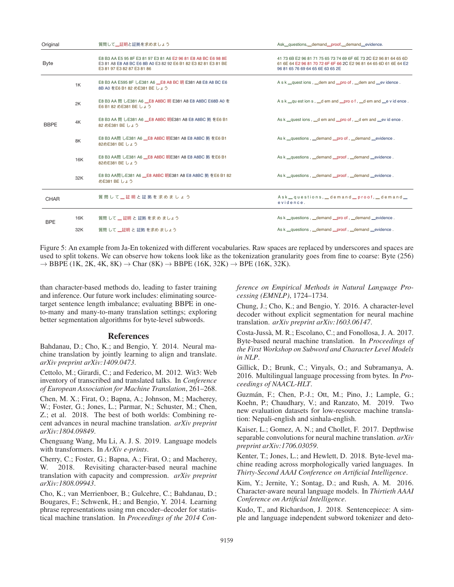| Original    |     | 質問して二証明と証拠を求めましょう                                                                                                                                              | Ask_questions,_demand_proof,_demand_evidence.                                                                                                                              |
|-------------|-----|----------------------------------------------------------------------------------------------------------------------------------------------------------------|----------------------------------------------------------------------------------------------------------------------------------------------------------------------------|
| <b>Byte</b> |     | E8 B3 AA E5 95 8F E3 81 97 E3 81 A6 E2 96 81 E8 A8 BC E6 98 8E<br>E3 81 A8 E8 A8 BC E6 8B A0 E3 82 92 E6 B1 82 E3 82 81 E3 81 BE<br>E3 81 97 E3 82 87 E3 81 86 | 41 73 6B E2 96 81 71 75 65 73 74 69 6F 6E 73 2C E2 96 81 64 65 6D<br>61 6E 64 E2 96 81 70 72 6F 6F 66 2C E2 96 81 64 65 6D 61 6E 64 E2<br>96 81 65 76 69 64 65 6E 63 65 2E |
|             | 1K  | E8 B3 AA E595 8F LE381 A6 _E8 A8 BC 明 E381 A8 E8 A8 BC E6<br>8B A0 をE6 B1 82 めE381 BE しょう                                                                      | Ask _quest ions, _dem and _pro of, _dem and _ev idence.                                                                                                                    |
|             | 2K  | E8 B3 AA 問 しE381 A6 _E8 A8BC 明 E381 A8 E8 A8BC E68B A0 を<br>E6 B1 82 めE381 BE しょう                                                                              | Ask _questions, _dem and _pro of, _dem and _evidence.                                                                                                                      |
| <b>BBPE</b> | 4K  | E8 B3 AA 問 しE381 A6 LE8 A8BC 明E381 A8 E8 A8BC 拠 をE6 B1<br>82 めE381 BE しょう                                                                                      | As k _quest ions, _d em and _pro of, _d em and _ev id ence.                                                                                                                |
|             | 8K  | E8 B3 AA問 しE381 A6 __E8 A8BC 明E381 A8 E8 A8BC 拠 をE6 B1<br>82めE381 BE しょう                                                                                       | As k _questions, _demand _pro of, _demand _evidence.                                                                                                                       |
|             | 16K | E8 B3 AA問 しE381 A6 LE8 A8BC 明E381 A8 E8 A8BC 拠 をE6 B1<br>82めE381 BE しょう                                                                                        | As k _questions, _demand _proof, _demand _evidence.                                                                                                                        |
|             | 32K | E8 B3 AA問しE381 A6 _E8 A8BC 明E381 A8 E8 A8BC 拠 をE6 B1 82<br>めE381 BE しょう                                                                                        | As k _questions, _demand _proof, _demand _evidence.                                                                                                                        |
| <b>CHAR</b> |     | 質問して 証明と証拠を求めましょう                                                                                                                                              | Ask_questions,_demand_proof,_demand_<br>evidence.                                                                                                                          |
|             | 16K | 質問 して 二証明 と証拠 を求め ましょう                                                                                                                                         | As k _questions, _demand _pro of, _demand _evidence.                                                                                                                       |
| <b>BPE</b>  | 32K | 質問 して 二証明 と 証拠 を求め ましょう                                                                                                                                        | As k _questions, _demand _proof, _demand _evidence.                                                                                                                        |

Figure 5: An example from Ja-En tokenized with different vocabularies. Raw spaces are replaced by underscores and spaces are used to split tokens. We can observe how tokens look like as the tokenization granularity goes from fine to coarse: Byte (256)  $\rightarrow$  BBPE (1K, 2K, 4K, 8K)  $\rightarrow$  Char (8K)  $\rightarrow$  BBPE (16K, 32K)  $\rightarrow$  BPE (16K, 32K).

than character-based methods do, leading to faster training and inference. Our future work includes: eliminating sourcetarget sentence length imbalance; evaluating BBPE in oneto-many and many-to-many translation settings; exploring better segmentation algorithms for byte-level subwords.

#### References

Bahdanau, D.; Cho, K.; and Bengio, Y. 2014. Neural machine translation by jointly learning to align and translate. *arXiv preprint arXiv:1409.0473*.

Cettolo, M.; Girardi, C.; and Federico, M. 2012. Wit3: Web inventory of transcribed and translated talks. In *Conference of European Association for Machine Translation*, 261–268.

Chen, M. X.; Firat, O.; Bapna, A.; Johnson, M.; Macherey, W.; Foster, G.; Jones, L.; Parmar, N.; Schuster, M.; Chen, Z.; et al. 2018. The best of both worlds: Combining recent advances in neural machine translation. *arXiv preprint arXiv:1804.09849*.

Chenguang Wang, Mu Li, A. J. S. 2019. Language models with transformers. In *ArXiv e-prints*.

Cherry, C.; Foster, G.; Bapna, A.; Firat, O.; and Macherey, W. 2018. Revisiting character-based neural machine translation with capacity and compression. *arXiv preprint arXiv:1808.09943*.

Cho, K.; van Merrienboer, B.; Gulcehre, C.; Bahdanau, D.; Bougares, F.; Schwenk, H.; and Bengio, Y. 2014. Learning phrase representations using rnn encoder–decoder for statistical machine translation. In *Proceedings of the 2014 Con-* *ference on Empirical Methods in Natural Language Processing (EMNLP)*, 1724–1734.

Chung, J.; Cho, K.; and Bengio, Y. 2016. A character-level decoder without explicit segmentation for neural machine translation. *arXiv preprint arXiv:1603.06147*.

Costa-Jussa, M. R.; Escolano, C.; and Fonollosa, J. A. 2017. ` Byte-based neural machine translation. In *Proceedings of the First Workshop on Subword and Character Level Models in NLP*.

Gillick, D.; Brunk, C.; Vinyals, O.; and Subramanya, A. 2016. Multilingual language processing from bytes. In *Proceedings of NAACL-HLT*.

Guzmán, F.; Chen, P.-J.; Ott, M.; Pino, J.; Lample, G.; Koehn, P.; Chaudhary, V.; and Ranzato, M. 2019. Two new evaluation datasets for low-resource machine translation: Nepali-english and sinhala-english.

Kaiser, L.; Gomez, A. N.; and Chollet, F. 2017. Depthwise separable convolutions for neural machine translation. *arXiv preprint arXiv:1706.03059*.

Kenter, T.; Jones, L.; and Hewlett, D. 2018. Byte-level machine reading across morphologically varied languages. In *Thirty-Second AAAI Conference on Artificial Intelligence*.

Kim, Y.; Jernite, Y.; Sontag, D.; and Rush, A. M. 2016. Character-aware neural language models. In *Thirtieth AAAI Conference on Artificial Intelligence*.

Kudo, T., and Richardson, J. 2018. Sentencepiece: A simple and language independent subword tokenizer and deto